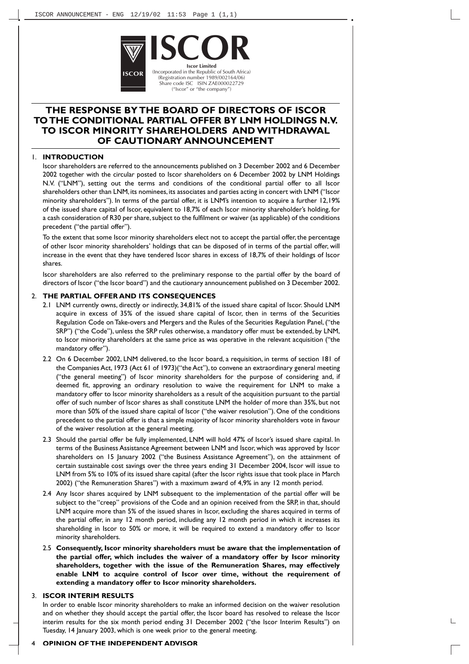

# **THE RESPONSE BY THE BOARD OF DIRECTORS OF ISCOR TOTHE CONDITIONAL PARTIAL OFFER BY LNM HOLDINGS N.V. TO ISCOR MINORITY SHAREHOLDERS AND WITHDRAWAL OF CAUTIONARY ANNOUNCEMENT**

**ISCOR**

**Iscor Limited**<br>(Incorporated in the Republic of South Africa)<br>(Registration number 1989/002164/06) Share code ISC ISIN ZAE000022729 ("Iscor" or "the company")

#### 1. **INTRODUCTION**

Iscor shareholders are referred to the announcements published on 3 December 2002 and 6 December 2002 together with the circular posted to Iscor shareholders on 6 December 2002 by LNM Holdings N.V. ("LNM"), setting out the terms and conditions of the conditional partial offer to all Iscor shareholders other than LNM, its nominees, its associates and parties acting in concert with LNM ("Iscor minority shareholders"). In terms of the partial offer, it is LNM's intention to acquire a further 12,19% of the issued share capital of Iscor, equivalent to 18,7% of each Iscor minority shareholder's holding, for a cash consideration of R30 per share,subject to the fulfilment or waiver (as applicable) of the conditions precedent ("the partial offer").

To the extent that some Iscor minority shareholders elect not to accept the partial offer, the percentage of other Iscor minority shareholders' holdings that can be disposed of in terms of the partial offer, will increase in the event that they have tendered Iscor shares in excess of 18,7% of their holdings of Iscor shares.

Iscor shareholders are also referred to the preliminary response to the partial offer by the board of directors of Iscor ("the Iscor board") and the cautionary announcement published on 3 December 2002.

#### 2. **THE PARTIAL OFFER AND ITS CONSEQUENCES**

- 2.1 LNM currently owns, directly or indirectly, 34,81% of the issued share capital of Iscor. Should LNM acquire in excess of 35% of the issued share capital of Iscor, then in terms of the Securities Regulation Code on Take-overs and Mergers and the Rules of the Securities Regulation Panel, ("the SRP") ("the Code"), unless the SRP rules otherwise, a mandatory offer must be extended, by LNM, to Iscor minority shareholders at the same price as was operative in the relevant acquisition ("the mandatory offer").
- 2.2 On 6 December 2002, LNM delivered, to the Iscor board, a requisition, in terms of section 181 of the Companies Act, 1973 (Act 61 of 1973)("the Act"), to convene an extraordinary general meeting ("the general meeting") of Iscor minority shareholders for the purpose of considering and, if deemed fit, approving an ordinary resolution to waive the requirement for LNM to make a mandatory offer to Iscor minority shareholders as a result of the acquisition pursuant to the partial offer of such number of Iscor shares as shall constitute LNM the holder of more than 35%, but not more than 50% of the issued share capital of Iscor ("the waiver resolution"). One of the conditions precedent to the partial offer is that a simple majority of Iscor minority shareholders vote in favour of the waiver resolution at the general meeting.
- 2.3 Should the partial offer be fully implemented, LNM will hold 47% of Iscor's issued share capital. In terms of the Business Assistance Agreement between LNM and Iscor, which was approved by Iscor shareholders on 15 January 2002 ("the Business Assistance Agreement"), on the attainment of certain sustainable cost savings over the three years ending 31 December 2004, Iscor will issue to LNM from 5% to 10% of its issued share capital (after the Iscor rights issue that took place in March 2002) ("the Remuneration Shares") with a maximum award of 4,9% in any 12 month period.
- 2.4 Any Iscor shares acquired by LNM subsequent to the implementation of the partial offer will be subject to the "creep" provisions of the Code and an opinion received from the SRP, in that, should LNM acquire more than 5% of the issued shares in Iscor, excluding the shares acquired in terms of the partial offer, in any 12 month period, including any 12 month period in which it increases its shareholding in Iscor to 50% or more, it will be required to extend a mandatory offer to Iscor minority shareholders.
- 2.5 **Consequently, Iscor minority shareholders must be aware that the implementation of the partial offer, which includes the waiver of a mandatory offer by Iscor minority shareholders, together with the issue of the Remuneration Shares, may effectively enable LNM to acquire control of Iscor over time, without the requirement of extending a mandatory offer to Iscor minority shareholders.**

# 3. **ISCOR INTERIM RESULTS**

In order to enable Iscor minority shareholders to make an informed decision on the waiver resolution and on whether they should accept the partial offer, the Iscor board has resolved to release the Iscor interim results for the six month period ending 31 December 2002 ("the Iscor Interim Results") on Tuesday, 14 January 2003, which is one week prior to the general meeting.